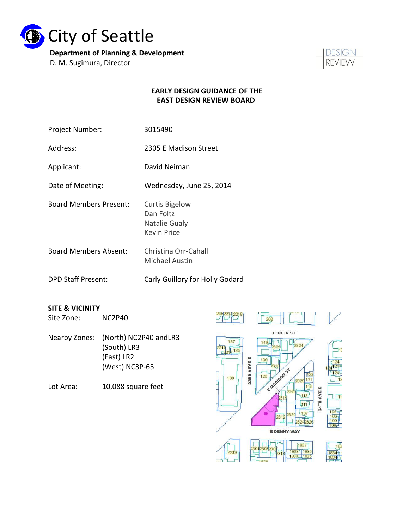

**Department of Planning & Development** D. M. Sugimura, Director



#### **EARLY DESIGN GUIDANCE OF THE EAST DESIGN REVIEW BOARD**

- Project Number: 3015490
- Address: 2305 E Madison Street
- Applicant: David Neiman
- Date of Meeting: Wednesday, June 25, 2014
- Board Members Present: Curtis Bigelow Dan Foltz Natalie Gualy Kevin Price
- Board Members Absent: Christina Orr-Cahall Michael Austin
- DPD Staff Present: Carly Guillory for Holly Godard

#### **SITE & VICINITY**

Site Zone: NC2P40

- Nearby Zones: (North) NC2P40 andLR3 (South) LR3 (East) LR2 (West) NC3P-65
- Lot Area: 10,088 square feet

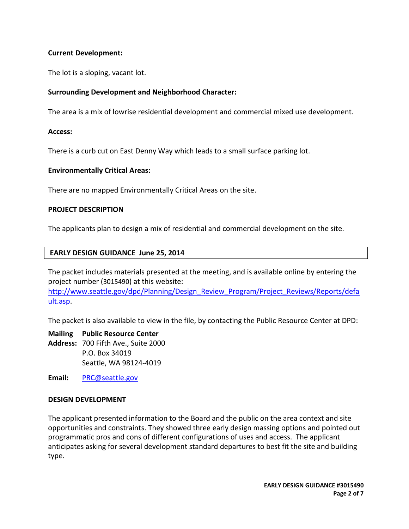### **Current Development:**

The lot is a sloping, vacant lot.

## **Surrounding Development and Neighborhood Character:**

The area is a mix of lowrise residential development and commercial mixed use development.

#### **Access:**

There is a curb cut on East Denny Way which leads to a small surface parking lot.

#### **Environmentally Critical Areas:**

There are no mapped Environmentally Critical Areas on the site.

#### **PROJECT DESCRIPTION**

The applicants plan to design a mix of residential and commercial development on the site.

#### **EARLY DESIGN GUIDANCE June 25, 2014**

The packet includes materials presented at the meeting, and is available online by entering the project number (3015490) at this website:

[http://www.seattle.gov/dpd/Planning/Design\\_Review\\_Program/Project\\_Reviews/Reports/defa](http://www.seattle.gov/dpd/Planning/Design_Review_Program/Project_Reviews/Reports/default.asp) [ult.asp.](http://www.seattle.gov/dpd/Planning/Design_Review_Program/Project_Reviews/Reports/default.asp)

The packet is also available to view in the file, by contacting the Public Resource Center at DPD:

**Mailing Public Resource Center Address:** 700 Fifth Ave., Suite 2000 P.O. Box 34019 Seattle, WA 98124-4019

**Email:** [PRC@seattle.gov](mailto:PRC@seattle.gov)

#### **DESIGN DEVELOPMENT**

The applicant presented information to the Board and the public on the area context and site opportunities and constraints. They showed three early design massing options and pointed out programmatic pros and cons of different configurations of uses and access. The applicant anticipates asking for several development standard departures to best fit the site and building type.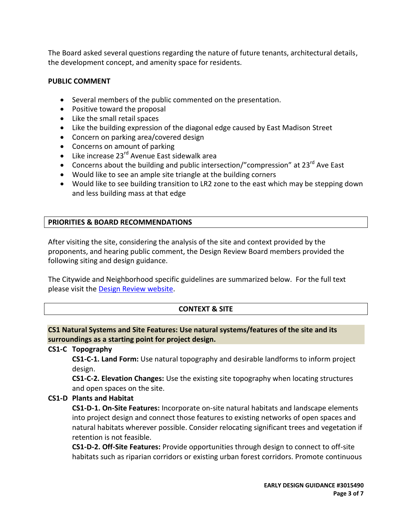The Board asked several questions regarding the nature of future tenants, architectural details, the development concept, and amenity space for residents.

#### **PUBLIC COMMENT**

- Several members of the public commented on the presentation.
- Positive toward the proposal
- Like the small retail spaces
- Like the building expression of the diagonal edge caused by East Madison Street
- Concern on parking area/covered design
- Concerns on amount of parking
- $\bullet$  Like increase 23<sup>rd</sup> Avenue East sidewalk area
- Concerns about the building and public intersection/"compression" at  $23^{rd}$  Ave East
- Would like to see an ample site triangle at the building corners
- Would like to see building transition to LR2 zone to the east which may be stepping down and less building mass at that edge

# **PRIORITIES & BOARD RECOMMENDATIONS**

After visiting the site, considering the analysis of the site and context provided by the proponents, and hearing public comment, the Design Review Board members provided the following siting and design guidance.

The Citywide and Neighborhood specific guidelines are summarized below. For the full text please visit the [Design Review website.](http://www.seattle.gov/dpd/Planning/Design_Review_Program/Applicant_s_Toolbox/Design_Guidelines/DPD_001604.asp)

# **CONTEXT & SITE**

# **CS1 Natural Systems and Site Features: Use natural systems/features of the site and its surroundings as a starting point for project design.**

# **CS1-C Topography**

**CS1-C-1. Land Form:** Use natural topography and desirable landforms to inform project design.

**CS1-C-2. Elevation Changes:** Use the existing site topography when locating structures and open spaces on the site.

# **CS1-D Plants and Habitat**

**CS1-D-1. On-Site Features:** Incorporate on-site natural habitats and landscape elements into project design and connect those features to existing networks of open spaces and natural habitats wherever possible. Consider relocating significant trees and vegetation if retention is not feasible.

**CS1-D-2. Off-Site Features:** Provide opportunities through design to connect to off-site habitats such as riparian corridors or existing urban forest corridors. Promote continuous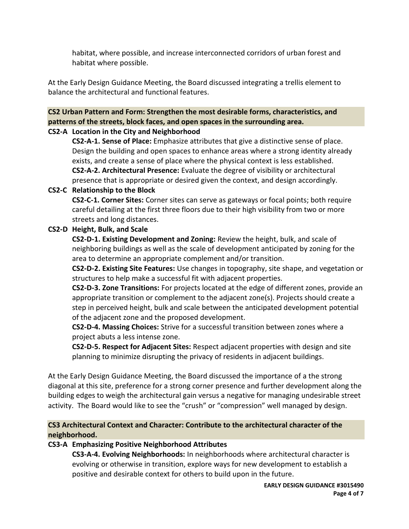habitat, where possible, and increase interconnected corridors of urban forest and habitat where possible.

At the Early Design Guidance Meeting, the Board discussed integrating a trellis element to balance the architectural and functional features.

# **CS2 Urban Pattern and Form: Strengthen the most desirable forms, characteristics, and patterns of the streets, block faces, and open spaces in the surrounding area.**

# **CS2-A Location in the City and Neighborhood**

**CS2-A-1. Sense of Place:** Emphasize attributes that give a distinctive sense of place. Design the building and open spaces to enhance areas where a strong identity already exists, and create a sense of place where the physical context is less established.

**CS2-A-2. Architectural Presence:** Evaluate the degree of visibility or architectural presence that is appropriate or desired given the context, and design accordingly.

# **CS2-C Relationship to the Block**

**CS2-C-1. Corner Sites:** Corner sites can serve as gateways or focal points; both require careful detailing at the first three floors due to their high visibility from two or more streets and long distances.

# **CS2-D Height, Bulk, and Scale**

**CS2-D-1. Existing Development and Zoning:** Review the height, bulk, and scale of neighboring buildings as well as the scale of development anticipated by zoning for the area to determine an appropriate complement and/or transition.

**CS2-D-2. Existing Site Features:** Use changes in topography, site shape, and vegetation or structures to help make a successful fit with adjacent properties.

**CS2-D-3. Zone Transitions:** For projects located at the edge of different zones, provide an appropriate transition or complement to the adjacent zone(s). Projects should create a step in perceived height, bulk and scale between the anticipated development potential of the adjacent zone and the proposed development.

**CS2-D-4. Massing Choices:** Strive for a successful transition between zones where a project abuts a less intense zone.

**CS2-D-5. Respect for Adjacent Sites:** Respect adjacent properties with design and site planning to minimize disrupting the privacy of residents in adjacent buildings.

At the Early Design Guidance Meeting, the Board discussed the importance of a the strong diagonal at this site, preference for a strong corner presence and further development along the building edges to weigh the architectural gain versus a negative for managing undesirable street activity. The Board would like to see the "crush" or "compression" well managed by design.

# **CS3 Architectural Context and Character: Contribute to the architectural character of the neighborhood.**

# **CS3-A Emphasizing Positive Neighborhood Attributes**

**CS3-A-4. Evolving Neighborhoods:** In neighborhoods where architectural character is evolving or otherwise in transition, explore ways for new development to establish a positive and desirable context for others to build upon in the future.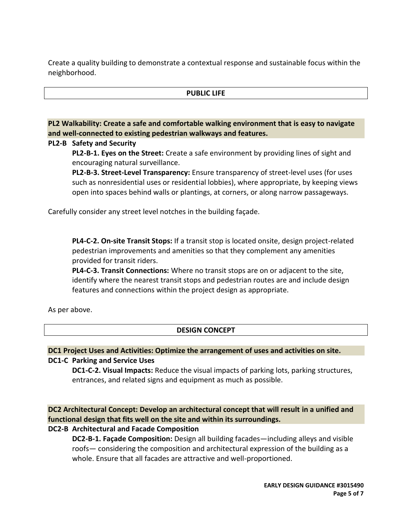Create a quality building to demonstrate a contextual response and sustainable focus within the neighborhood.

#### **PUBLIC LIFE**

# **PL2 Walkability: Create a safe and comfortable walking environment that is easy to navigate and well-connected to existing pedestrian walkways and features.**

#### **PL2-B Safety and Security**

**PL2-B-1. Eyes on the Street:** Create a safe environment by providing lines of sight and encouraging natural surveillance.

**PL2-B-3. Street-Level Transparency:** Ensure transparency of street-level uses (for uses such as nonresidential uses or residential lobbies), where appropriate, by keeping views open into spaces behind walls or plantings, at corners, or along narrow passageways.

Carefully consider any street level notches in the building façade.

**PL4-C-2. On-site Transit Stops:** If a transit stop is located onsite, design project-related pedestrian improvements and amenities so that they complement any amenities provided for transit riders.

**PL4-C-3. Transit Connections:** Where no transit stops are on or adjacent to the site, identify where the nearest transit stops and pedestrian routes are and include design features and connections within the project design as appropriate.

As per above.

# **DESIGN CONCEPT**

# **DC1 Project Uses and Activities: Optimize the arrangement of uses and activities on site.**

#### **DC1-C Parking and Service Uses**

**DC1-C-2. Visual Impacts:** Reduce the visual impacts of parking lots, parking structures, entrances, and related signs and equipment as much as possible.

**DC2 Architectural Concept: Develop an architectural concept that will result in a unified and functional design that fits well on the site and within its surroundings.**

# **DC2-B Architectural and Facade Composition**

**DC2-B-1. Façade Composition:** Design all building facades—including alleys and visible roofs— considering the composition and architectural expression of the building as a whole. Ensure that all facades are attractive and well-proportioned.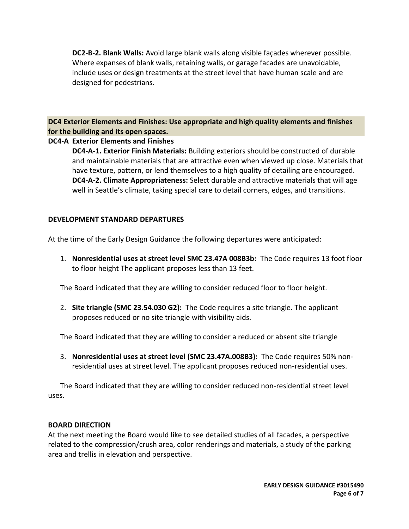**DC2-B-2. Blank Walls:** Avoid large blank walls along visible façades wherever possible. Where expanses of blank walls, retaining walls, or garage facades are unavoidable, include uses or design treatments at the street level that have human scale and are designed for pedestrians.

**DC4 Exterior Elements and Finishes: Use appropriate and high quality elements and finishes for the building and its open spaces.**

### **DC4-A Exterior Elements and Finishes**

**DC4-A-1. Exterior Finish Materials:** Building exteriors should be constructed of durable and maintainable materials that are attractive even when viewed up close. Materials that have texture, pattern, or lend themselves to a high quality of detailing are encouraged. **DC4-A-2. Climate Appropriateness:** Select durable and attractive materials that will age well in Seattle's climate, taking special care to detail corners, edges, and transitions.

#### **DEVELOPMENT STANDARD DEPARTURES**

At the time of the Early Design Guidance the following departures were anticipated:

1. **Nonresidential uses at street level SMC 23.47A 008B3b:** The Code requires 13 foot floor to floor height The applicant proposes less than 13 feet.

The Board indicated that they are willing to consider reduced floor to floor height.

2. **Site triangle (SMC 23.54.030 G2):** The Code requires a site triangle. The applicant proposes reduced or no site triangle with visibility aids.

The Board indicated that they are willing to consider a reduced or absent site triangle

3. **Nonresidential uses at street level (SMC 23.47A.008B3):** The Code requires 50% nonresidential uses at street level. The applicant proposes reduced non-residential uses.

The Board indicated that they are willing to consider reduced non-residential street level uses.

#### **BOARD DIRECTION**

At the next meeting the Board would like to see detailed studies of all facades, a perspective related to the compression/crush area, color renderings and materials, a study of the parking area and trellis in elevation and perspective.